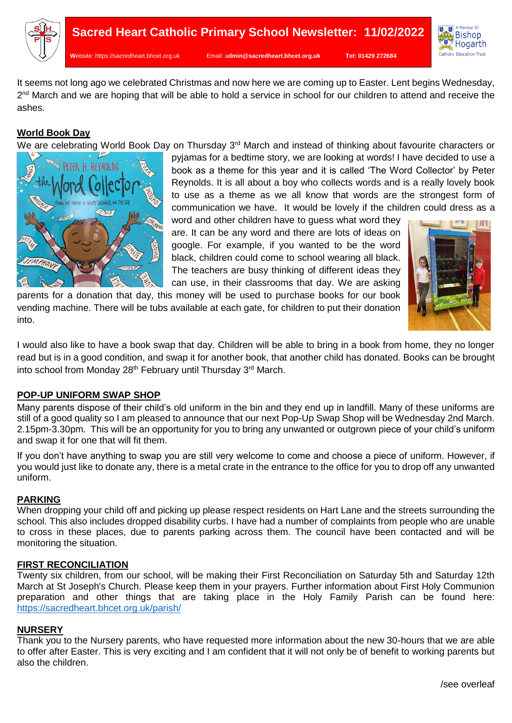



It seems not long ago we celebrated Christmas and now here we are coming up to Easter. Lent begins Wednesday, 2<sup>nd</sup> March and we are hoping that will be able to hold a service in school for our children to attend and receive the ashes.

# **World Book Day**

We are celebrating World Book Day on Thursday 3<sup>rd</sup> March and instead of thinking about favourite characters or



pyjamas for a bedtime story, we are looking at words! I have decided to use a book as a theme for this year and it is called 'The Word Collector' by Peter Reynolds. It is all about a boy who collects words and is a really lovely book to use as a theme as we all know that words are the strongest form of communication we have. It would be lovely if the children could dress as a

word and other children have to guess what word they are. It can be any word and there are lots of ideas on google. For example, if you wanted to be the word black, children could come to school wearing all black. The teachers are busy thinking of different ideas they can use, in their classrooms that day. We are asking

parents for a donation that day, this money will be used to purchase books for our book vending machine. There will be tubs available at each gate, for children to put their donation into.



I would also like to have a book swap that day. Children will be able to bring in a book from home, they no longer read but is in a good condition, and swap it for another book, that another child has donated. Books can be brought into school from Monday 28<sup>th</sup> February until Thursday 3<sup>rd</sup> March.

## **POP-UP UNIFORM SWAP SHOP**

Many parents dispose of their child's old uniform in the bin and they end up in landfill. Many of these uniforms are still of a good quality so I am pleased to announce that our next Pop-Up Swap Shop will be Wednesday 2nd March. 2.15pm-3.30pm. This will be an opportunity for you to bring any unwanted or outgrown piece of your child's uniform and swap it for one that will fit them.

If you don't have anything to swap you are still very welcome to come and choose a piece of uniform. However, if you would just like to donate any, there is a metal crate in the entrance to the office for you to drop off any unwanted uniform.

## **PARKING**

When dropping your child off and picking up please respect residents on Hart Lane and the streets surrounding the school. This also includes dropped disability curbs. I have had a number of complaints from people who are unable to cross in these places, due to parents parking across them. The council have been contacted and will be monitoring the situation.

### **FIRST RECONCILIATION**

Twenty six children, from our school, will be making their First Reconciliation on Saturday 5th and Saturday 12th March at St Joseph's Church. Please keep them in your prayers. Further information about First Holy Communion preparation and other things that are taking place in the Holy Family Parish can be found here: <https://sacredheart.bhcet.org.uk/parish/>

### **NURSERY**

Thank you to the Nursery parents, who have requested more information about the new 30-hours that we are able to offer after Easter. This is very exciting and I am confident that it will not only be of benefit to working parents but also the children.